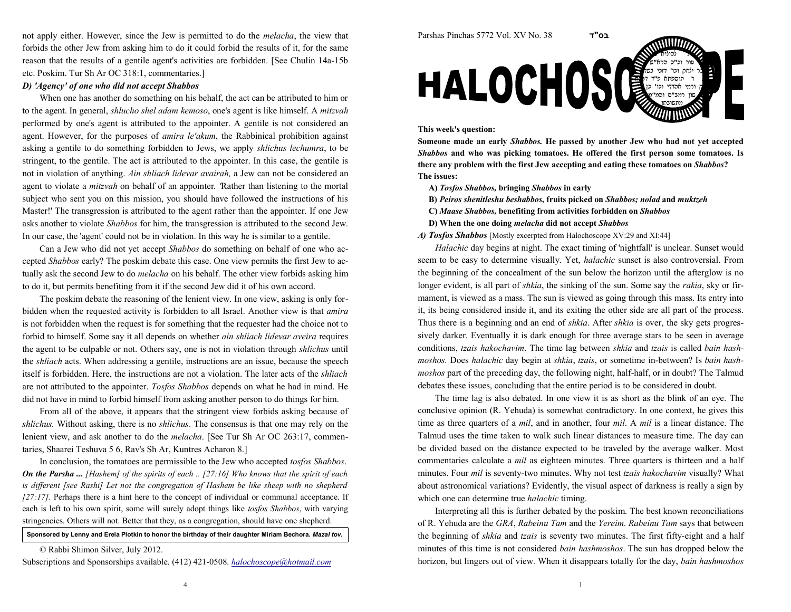not apply either. However, since the Jew is permitted to do the melacha, the view thatforbids the other Jew from asking him to do it could forbid the results of it, for the samereason that the results of a gentile agent's activities are forbidden. [See Chulin 14a-15betc. Poskim. Tur Sh Ar OC 318:1, commentaries.]

## D) 'Agency' of one who did not accept Shabbos

When one has another do something on his behalf, the act can be attributed to him orto the agent. In general, shlucho shel adam kemoso, one's agent is like himself. A mitzvah performed by one's agent is attributed to the appointer. A gentile is not considered anagent. However, for the purposes of *amira le'akum*, the Rabbinical prohibition against asking a gentile to do something forbidden to Jews, we apply *shlichus lechumra*, to be stringent, to the gentile. The act is attributed to the appointer. In this case, the gentile isnot in violation of anything. Ain shliach lidevar avairah, a Jew can not be considered anagent to violate a *mitzvah* on behalf of an appointer. 'Rather than listening to the mortal subject who sent you on this mission, you should have followed the instructions of hisMaster!' The transgression is attributed to the agent rather than the appointer. If one Jewasks another to violate *Shabbos* for him, the transgression is attributed to the second Jew. In our case, the 'agent' could not be in violation. In this way he is similar to a gentile.

Can a Jew who did not yet accept Shabbos do something on behalf of one who accepted Shabbos early? The poskim debate this case. One view permits the first Jew to actually ask the second Jew to do *melacha* on his behalf. The other view forbids asking him to do it, but permits benefiting from it if the second Jew did it of his own accord.

The poskim debate the reasoning of the lenient view. In one view, asking is only forbidden when the requested activity is forbidden to all Israel. Another view is that *amira*  is not forbidden when the request is for something that the requester had the choice not toforbid to himself. Some say it all depends on whether *ain shliach lidevar aveira* requires the agent to be culpable or not. Others say, one is not in violation through shlichus untilthe shliach acts. When addressing a gentile, instructions are an issue, because the speechitself is forbidden. Here, the instructions are not a violation. The later acts of the shliach are not attributed to the appointer. Tosfos Shabbos depends on what he had in mind. He did not have in mind to forbid himself from asking another person to do things for him.

From all of the above, it appears that the stringent view forbids asking because ofshlichus. Without asking, there is no shlichus. The consensus is that one may rely on thelenient view, and ask another to do the melacha. [See Tur Sh Ar OC 263:17, commentaries, Shaarei Teshuva 5 6, Rav's Sh Ar, Kuntres Acharon 8.]

In conclusion, the tomatoes are permissible to the Jew who accepted *tosfos Shabbos*. **On the Parsha ...** [Hashem] of the spirits of each .. [27:16] Who knows that the spirit of each is different [see Rashi] Let not the congregation of Hashem be like sheep with no shepherd $[27:17]$ . Perhaps there is a hint here to the concept of individual or communal acceptance. If each is left to his own spirit, some will surely adopt things like tosfos Shabbos, with varying stringencies. Others will not. Better that they, as a congregation, should have one shepherd.

Sponsored by Lenny and Erela Plotkin to honor the birthday of their daughter Miriam Bechora. *Mazal tov.* 

© Rabbi Shimon Silver, July 2012.

Subscriptions and Sponsorships available. (412) 421-0508. halochoscope@hotmail.com



## This week's question:

Someone made an early Shabbos. He passed by another Jew who had not yet accepted Shabbos and who was picking tomatoes. He offered the first person some tomatoes. Isthere any problem with the first Jew accepting and eating these tomatoes on Shabbos?The issues:

- A) Tosfos Shabbos, bringing Shabbos in early
- B) Peiros shenitleshu beshabbos, fruits picked on Shabbos; nolad and muktzeh
- C) Maase Shabbos, benefiting from activities forbidden on Shabbos
- D) When the one doing melacha did not accept Shabbos

A) Tosfos Shabbos [Mostly excerpted from Halochoscope XV:29 and XI:44]

Halachic day begins at night. The exact timing of 'nightfall' is unclear. Sunset wouldseem to be easy to determine visually. Yet, *halachic* sunset is also controversial. From the beginning of the concealment of the sun below the horizon until the afterglow is nolonger evident, is all part of shkia, the sinking of the sun. Some say the rakia, sky or firmament, is viewed as a mass. The sun is viewed as going through this mass. Its entry into it, its being considered inside it, and its exiting the other side are all part of the process.Thus there is a beginning and an end of *shkia*. After *shkia* is over, the sky gets progressively darker. Eventually it is dark enough for three average stars to be seen in averageconditions, tzais hakochavim. The time lag between shkia and tzais is called bain hashmoshos. Does halachic day begin at shkia, tzais, or sometime in-between? Is bain hashmoshos part of the preceding day, the following night, half-half, or in doubt? The Talmuddebates these issues, concluding that the entire period is to be considered in doubt.

The time lag is also debated. In one view it is as short as the blink of an eye. The conclusive opinion (R. Yehuda) is somewhat contradictory. In one context, he gives thistime as three quarters of a *mil*, and in another, four *mil*. A *mil* is a linear distance. The Talmud uses the time taken to walk such linear distances to measure time. The day can be divided based on the distance expected to be traveled by the average walker. Mostcommentaries calculate a *mil* as eighteen minutes. Three quarters is thirteen and a half minutes. Four mil is seventy-two minutes. Why not test tzais hakochavim visually? What about astronomical variations? Evidently, the visual aspect of darkness is really a sign bywhich one can determine true *halachic* timing.

Interpreting all this is further debated by the poskim. The best known reconciliationsof R. Yehuda are the GRA, Rabeinu Tam and the Yereim. Rabeinu Tam says that between the beginning of *shkia* and *tzais* is seventy two minutes. The first fifty-eight and a half minutes of this time is not considered bain hashmoshos. The sun has dropped below thehorizon, but lingers out of view. When it disappears totally for the day, bain hashmoshos